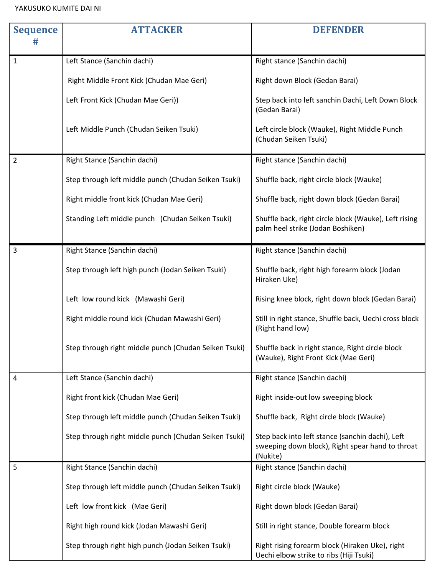## YAKUSUKO KUMITE DAI NI

| <b>Sequence</b> | <b>ATTACKER</b>                                       | <b>DEFENDER</b>                                                                                                  |
|-----------------|-------------------------------------------------------|------------------------------------------------------------------------------------------------------------------|
|                 |                                                       |                                                                                                                  |
| 1               | Left Stance (Sanchin dachi)                           | Right stance (Sanchin dachi)                                                                                     |
|                 | Right Middle Front Kick (Chudan Mae Geri)             | Right down Block (Gedan Barai)                                                                                   |
|                 | Left Front Kick (Chudan Mae Geri))                    | Step back into left sanchin Dachi, Left Down Block<br>(Gedan Barai)                                              |
|                 | Left Middle Punch (Chudan Seiken Tsuki)               | Left circle block (Wauke), Right Middle Punch<br>(Chudan Seiken Tsuki)                                           |
| $\overline{2}$  | Right Stance (Sanchin dachi)                          | Right stance (Sanchin dachi)                                                                                     |
|                 | Step through left middle punch (Chudan Seiken Tsuki)  | Shuffle back, right circle block (Wauke)                                                                         |
|                 | Right middle front kick (Chudan Mae Geri)             | Shuffle back, right down block (Gedan Barai)                                                                     |
|                 | Standing Left middle punch (Chudan Seiken Tsuki)      | Shuffle back, right circle block (Wauke), Left rising<br>palm heel strike (Jodan Boshiken)                       |
| 3               | Right Stance (Sanchin dachi)                          | Right stance (Sanchin dachi)                                                                                     |
|                 | Step through left high punch (Jodan Seiken Tsuki)     | Shuffle back, right high forearm block (Jodan<br>Hiraken Uke)                                                    |
|                 | Left low round kick (Mawashi Geri)                    | Rising knee block, right down block (Gedan Barai)                                                                |
|                 | Right middle round kick (Chudan Mawashi Geri)         | Still in right stance, Shuffle back, Uechi cross block<br>(Right hand low)                                       |
|                 | Step through right middle punch (Chudan Seiken Tsuki) | Shuffle back in right stance, Right circle block<br>(Wauke), Right Front Kick (Mae Geri)                         |
| 4               | Left Stance (Sanchin dachi)                           | Right stance (Sanchin dachi)                                                                                     |
|                 | Right front kick (Chudan Mae Geri)                    | Right inside-out low sweeping block                                                                              |
|                 | Step through left middle punch (Chudan Seiken Tsuki)  | Shuffle back, Right circle block (Wauke)                                                                         |
|                 | Step through right middle punch (Chudan Seiken Tsuki) | Step back into left stance (sanchin dachi), Left<br>sweeping down block), Right spear hand to throat<br>(Nukite) |
| 5               | Right Stance (Sanchin dachi)                          | Right stance (Sanchin dachi)                                                                                     |
|                 | Step through left middle punch (Chudan Seiken Tsuki)  | Right circle block (Wauke)                                                                                       |
|                 | Left low front kick (Mae Geri)                        | Right down block (Gedan Barai)                                                                                   |
|                 | Right high round kick (Jodan Mawashi Geri)            | Still in right stance, Double forearm block                                                                      |
|                 | Step through right high punch (Jodan Seiken Tsuki)    | Right rising forearm block (Hiraken Uke), right<br>Uechi elbow strike to ribs (Hiji Tsuki)                       |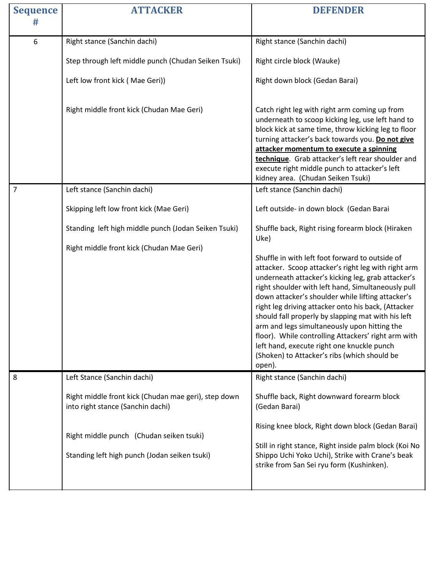| <b>ATTACKER</b>                                                                                                                                                                        | <b>DEFENDER</b>                                                                                                                                                                                                                                                                                                                                                                                                                                                                                                                                                                                     |
|----------------------------------------------------------------------------------------------------------------------------------------------------------------------------------------|-----------------------------------------------------------------------------------------------------------------------------------------------------------------------------------------------------------------------------------------------------------------------------------------------------------------------------------------------------------------------------------------------------------------------------------------------------------------------------------------------------------------------------------------------------------------------------------------------------|
|                                                                                                                                                                                        |                                                                                                                                                                                                                                                                                                                                                                                                                                                                                                                                                                                                     |
| Right stance (Sanchin dachi)                                                                                                                                                           | Right stance (Sanchin dachi)                                                                                                                                                                                                                                                                                                                                                                                                                                                                                                                                                                        |
| Step through left middle punch (Chudan Seiken Tsuki)                                                                                                                                   | Right circle block (Wauke)                                                                                                                                                                                                                                                                                                                                                                                                                                                                                                                                                                          |
| Left low front kick (Mae Geri))                                                                                                                                                        | Right down block (Gedan Barai)                                                                                                                                                                                                                                                                                                                                                                                                                                                                                                                                                                      |
| Right middle front kick (Chudan Mae Geri)                                                                                                                                              | Catch right leg with right arm coming up from<br>underneath to scoop kicking leg, use left hand to<br>block kick at same time, throw kicking leg to floor<br>turning attacker's back towards you. Do not give<br>attacker momentum to execute a spinning<br>technique. Grab attacker's left rear shoulder and<br>execute right middle punch to attacker's left<br>kidney area. (Chudan Seiken Tsuki)                                                                                                                                                                                                |
| Left stance (Sanchin dachi)                                                                                                                                                            | Left stance (Sanchin dachi)                                                                                                                                                                                                                                                                                                                                                                                                                                                                                                                                                                         |
| Skipping left low front kick (Mae Geri)                                                                                                                                                | Left outside- in down block (Gedan Barai                                                                                                                                                                                                                                                                                                                                                                                                                                                                                                                                                            |
| Standing left high middle punch (Jodan Seiken Tsuki)                                                                                                                                   | Shuffle back, Right rising forearm block (Hiraken<br>Uke)                                                                                                                                                                                                                                                                                                                                                                                                                                                                                                                                           |
| Right middle front kick (Chudan Mae Geri)                                                                                                                                              | Shuffle in with left foot forward to outside of<br>attacker. Scoop attacker's right leg with right arm<br>underneath attacker's kicking leg, grab attacker's<br>right shoulder with left hand, Simultaneously pull<br>down attacker's shoulder while lifting attacker's<br>right leg driving attacker onto his back, (Attacker<br>should fall properly by slapping mat with his left<br>arm and legs simultaneously upon hitting the<br>floor). While controlling Attackers' right arm with<br>left hand, execute right one knuckle punch<br>(Shoken) to Attacker's ribs (which should be<br>open). |
| Right middle front kick (Chudan mae geri), step down<br>into right stance (Sanchin dachi)<br>Right middle punch (Chudan seiken tsuki)<br>Standing left high punch (Jodan seiken tsuki) | Right stance (Sanchin dachi)<br>Shuffle back, Right downward forearm block<br>(Gedan Barai)<br>Rising knee block, Right down block (Gedan Barai)<br>Still in right stance, Right inside palm block (Koi No<br>Shippo Uchi Yoko Uchi), Strike with Crane's beak<br>strike from San Sei ryu form (Kushinken).                                                                                                                                                                                                                                                                                         |
|                                                                                                                                                                                        | Left Stance (Sanchin dachi)                                                                                                                                                                                                                                                                                                                                                                                                                                                                                                                                                                         |